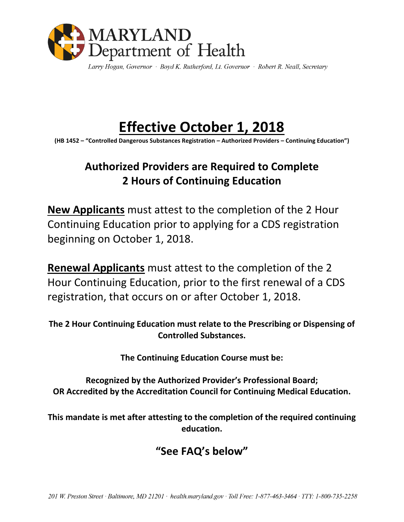

Larry Hogan, Governor · Boyd K. Rutherford, Lt. Governor · Robert R. Neall, Secretary

# **Effective October 1, 2018**

**(HB 1452 – "Controlled Dangerous Substances Registration – Authorized Providers – Continuing Education")**

## **Authorized Providers are Required to Complete 2 Hours of Continuing Education**

**New Applicants** must attest to the completion of the 2 Hour Continuing Education prior to applying for a CDS registration beginning on October 1, 2018.

**Renewal Applicants** must attest to the completion of the 2 Hour Continuing Education, prior to the first renewal of a CDS registration, that occurs on or after October 1, 2018.

**The 2 Hour Continuing Education must relate to the Prescribing or Dispensing of Controlled Substances.**

**The Continuing Education Course must be:**

**Recognized by the Authorized Provider's Professional Board; OR Accredited by the Accreditation Council for Continuing Medical Education.**

**This mandate is met after attesting to the completion of the required continuing education.**

### **"See FAQ's below"**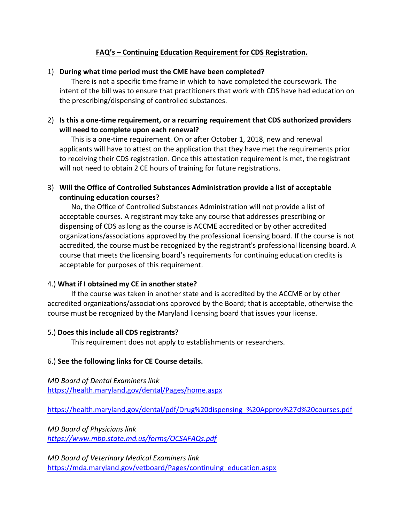#### **FAQ's – Continuing Education Requirement for CDS Registration.**

#### 1) **During what time period must the CME have been completed?**

There is not a specific time frame in which to have completed the coursework. The intent of the bill was to ensure that practitioners that work with CDS have had education on the prescribing/dispensing of controlled substances.

#### 2) **Is this a one-time requirement, or a recurring requirement that CDS authorized providers will need to complete upon each renewal?**

This is a one-time requirement. On or after October 1, 2018, new and renewal applicants will have to attest on the application that they have met the requirements prior to receiving their CDS registration. Once this attestation requirement is met, the registrant will not need to obtain 2 CE hours of training for future registrations.

#### 3) **Will the Office of Controlled Substances Administration provide a list of acceptable continuing education courses?**

No, the Office of Controlled Substances Administration will not provide a list of acceptable courses. A registrant may take any course that addresses prescribing or dispensing of CDS as long as the course is ACCME accredited or by other accredited organizations/associations approved by the professional licensing board. If the course is not accredited, the course must be recognized by the registrant's professional licensing board. A course that meets the licensing board's requirements for continuing education credits is acceptable for purposes of this requirement.

#### 4.) **What if I obtained my CE in another state?**

If the course was taken in another state and is accredited by the ACCME or by other accredited organizations/associations approved by the Board; that is acceptable, otherwise the course must be recognized by the Maryland licensing board that issues your license.

#### 5.) **Does this include all CDS registrants?**

This requirement does not apply to establishments or researchers.

#### 6.) **See the following links for CE Course details.**

*MD Board of Dental Examiners link*  <https://health.maryland.gov/dental/Pages/home.aspx>

[https://health.maryland.gov/dental/pdf/Drug%20dispensing\\_%20Approv%27d%20courses.pdf](https://health.maryland.gov/dental/pdf/Drug%20dispensing_%20Approv%27d%20courses.pdf)

*MD Board of Physicians link <https://www.mbp.state.md.us/forms/OCSAFAQs.pdf>*

*MD Board of Veterinary Medical Examiners link* [https://mda.maryland.gov/vetboard/Pages/continuing\\_education.aspx](https://mda.maryland.gov/vetboard/Pages/continuing_education.aspx)